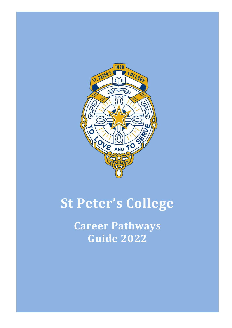

# **St Peter's College**

**Career Pathways Guide 2022**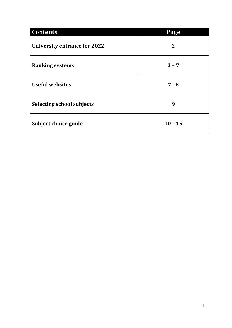| <b>Contents</b>                     | Page         |
|-------------------------------------|--------------|
| <b>University entrance for 2022</b> | $\mathbf{2}$ |
| <b>Ranking systems</b>              | $3 - 7$      |
| <b>Useful websites</b>              | $7 - 8$      |
| <b>Selecting school subjects</b>    | 9            |
| Subject choice guide                | $10 - 15$    |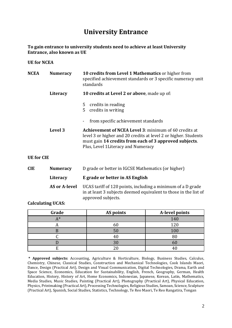## **University Entrance**

**To gain entrance to university students need to achieve at least University Entrance, also known as UE**

#### **UE for NCEA**

| <b>NCEA</b>       | <b>Numeracy</b>      | 10 credits from Level 1 Mathematics or higher from<br>specified achievement standards or 3 specific numeracy unit<br>standards                                                                                                  |  |
|-------------------|----------------------|---------------------------------------------------------------------------------------------------------------------------------------------------------------------------------------------------------------------------------|--|
|                   | Literacy             | 10 credits at Level 2 or above, made up of:                                                                                                                                                                                     |  |
|                   |                      | credits in reading<br>5<br>credits in writing<br>5.                                                                                                                                                                             |  |
|                   |                      | from specific achievement standards                                                                                                                                                                                             |  |
|                   | Level 3              | <b>Achievement of NCEA Level 3: minimum of 60 credits at</b><br>level 3 or higher and 20 credits at level 2 or higher. Students<br>must gain 14 credits from each of 3 approved subjects.<br>Plus, Level 1Literacy and Numeracy |  |
| <b>UE</b> for CIE |                      |                                                                                                                                                                                                                                 |  |
| <b>CIE</b>        | <b>Numeracy</b>      | D grade or better in IGCSE Mathematics (or higher)                                                                                                                                                                              |  |
|                   | Literacy             | E grade or better in AS English                                                                                                                                                                                                 |  |
|                   | <b>AS or A-level</b> | UCAS tariff of 120 points, including a minimum of a D grade<br>in at least 3 subjects deemed equivalent to those in the list of<br>approved subjects.                                                                           |  |

**Calculating UCAS:**

| Grade | AS points      | A-level points |
|-------|----------------|----------------|
| Δ*    |                | 140            |
| Л     | 60             | 120            |
|       | 5(             | 100            |
|       |                | 80             |
|       | 3 <sub>0</sub> | 60             |
|       |                |                |

**\* Approved subjects:** Accounting, Agriculture & Horticulture, Biology, Business Studies, Calculus, Chemistry, Chinese, Classical Studies, Construction and Mechanical Technologies, Cook Islands Maori, Dance, Design (Practical Art), Design and Visual Communication, Digital Technologies, Drama, Earth and Space Science, Economics, Education for Sustainability, English, French, Geography, German, Health Education, History, History of Art, Home Economics, Indonesian, Japanese, Korean, Latin, Mathematics, Media Studies, Music Studies, Painting (Practical Art), Photography (Practical Art), Physical Education, Physics, Printmaking (Practical Art), Processing Technologies, Religious Studies, Samoan, Science, Sculpture (Practical Art), Spanish, Social Studies, Statistics, Technology, Te Reo Maori, Te Reo Rangatira, Tongan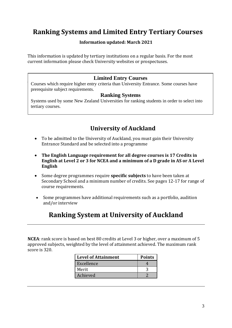# **Ranking Systems and Limited Entry Tertiary Courses**

#### **Information updated: March 2021**

This information is updated by tertiary institutions on a regular basis. For the most current information please check University websites or prospectuses.

#### **Limited Entry Courses**

Courses which require higher entry criteria than University Entrance. Some courses have prerequisite subject requirements.

#### **Ranking Systems**

Systems used by some New Zealand Universities for ranking students in order to select into tertiary courses.

### **University of Auckland**

- To be admitted to the University of Auckland, you must gain their University Entrance Standard and be selected into a programme
- **The English Language requirement for all degree courses is 17 Credits in English at Level 2 or 3 for NCEA and a minimum of a D grade in AS or A Level English**
- Some degree programmes require **specific subjects** to have been taken at Secondary School and a minimum number of credits. See pages 12-17 for range of course requirements.
- Some programmes have additional requirements such as a portfolio, audition and/or interview

# **Ranking System at University of Auckland**

**NCEA**: rank score is based on best 80 credits at Level 3 or higher, over a maximum of 5 approved subjects, weighted by the level of attainment achieved. The maximum rank score is 320.

| <b>Level of Attainment</b> | <b>Points</b> |
|----------------------------|---------------|
| Excellence                 |               |
| Merit                      |               |
| Achieved                   |               |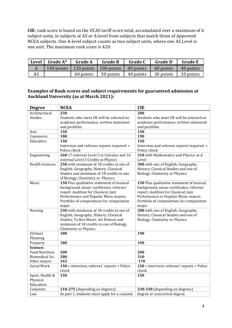**CIE**: rank score is based on the UCAS tariff score total, accumulated over a maximum of 6 subject units, in subjects at AS or A-level from subjects that match those of Approved NCEA subjects. One A-level subject counts as two subject units, where one AS Level is one unit. The maximum rank score is 420.

| Level | Grade A*   | <b>Grade A</b> | <b>Grade B</b>                | <b>Grade C</b>    | <b>Grade D</b> | <b>Grade E</b> |
|-------|------------|----------------|-------------------------------|-------------------|----------------|----------------|
|       | 140 points |                | 120 points $\vert$ 100 points | $\vert$ 80 points | 60 points      | 40 points      |
| AS    |            | 60 points      | 50 points                     | 40 points         | 30 points      | 20 points      |

#### **Examples of Rank scores and subject requirements for guaranteed admission at Auckland University (as at March 2021):**

| <b>Degree</b>          | <b>NCEA</b>                                   | <b>CIE</b>                                  |
|------------------------|-----------------------------------------------|---------------------------------------------|
| Architectural          | 230                                           | 280                                         |
| <b>Studies</b>         | Students who meet UE will be selected on      | Students who meet UE will be selected on    |
|                        | academic performance, written statement       | academic performance, written statement     |
|                        | and portfolio                                 | and portfolio                               |
| Arts                   | 150                                           | 150                                         |
| Commerce               | 180                                           | 190                                         |
| Education              | 150                                           | 150                                         |
|                        | Interview and referees reports required +     | Interview and referees reports required +   |
|                        | Police check                                  | Police check                                |
| Engineering            | 260 17 external Level 3 in Calculus and 16    | 310 with Mathematics and Physics at A       |
|                        | external Level 3 Credits in Physics           | Level                                       |
| <b>Health Sciences</b> | 250 with minimum of 18 credits in one of      | 300 with one of English, Geography,         |
|                        | English, Geography, History, Classical        | History, Classical Studies and one of       |
|                        | Studies and minimum of 18 credits in one      | Biology, Chemistry or Physics.              |
|                        | of Biology, Chemistry or Physics.             |                                             |
| Music                  | 150 Plus qualitative statement of musical     | 150 Plus qualitative statement of musical   |
|                        | background, music certificates, referees'     | background, music certificates, referees'   |
|                        | report. Audition for Classical, Jazz          | report. Audition for Classical, Jazz        |
|                        | Performance and Popular Music majors.         | Performance or Popular Music majors.        |
|                        | Portfolio of compositions for composition     | Portfolio of compositions for composition   |
|                        | major                                         | major                                       |
| Nursing                | 230 with minimum of 18 credits in one of      | 280 with one of English, Geography,         |
|                        | English, Geography, History, Classical        | History, Classical Studies and one of       |
|                        | Studies, Te Reo Maori, Art History and        | Biology, Chemistry or Physics.              |
|                        | minimum of 18 credits in one of Biology,      |                                             |
|                        | Chemistry or Physics.                         |                                             |
| (Urban)                | 180                                           | 190                                         |
| Planning               |                                               |                                             |
| Property               | 180                                           | 190                                         |
| Science:               |                                               |                                             |
| <b>Food Nutrition</b>  | 200                                           | 200                                         |
| <b>Biomedical Sci</b>  | 280                                           | 310                                         |
| Other majors           | 165                                           | 170                                         |
| Social Work            | 150 + interview, referees' reports + Police   | 150 + interview, referees' reports + Police |
|                        | check                                         | check                                       |
| Sport, Health &        | 150                                           | 150                                         |
| Physical               |                                               |                                             |
| Education              |                                               |                                             |
| Conjoints              | 210-275 (depending on degrees)                | 230-330 (depending on degrees)              |
| Law                    | At part 1, students must apply for a conjoint | degree or concurrent degree.                |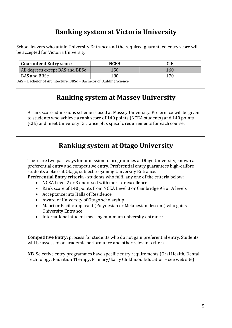# **Ranking system at Victoria University**

School leavers who attain University Entrance and the required guaranteed entry score will be accepted for Victoria University.

| <b>Guaranteed Entry score</b>   | NCEA | CIE  |
|---------------------------------|------|------|
| All degrees except BAS and BBSc | 150  | I 60 |
| BAS and BBSc                    | 180  |      |

BAS = Bachelor of Architecture. BBSc = Bachelor of Building Science.

# **Ranking system at Massey University**

A rank score admissions scheme is used at Massey University. Preference will be given to students who achieve a rank score of 140 points (NCEA students) and 140 points (CIE) and meet University Entrance plus specific requirements for each course.

# **Ranking system at Otago University**

There are two pathways for admission to programmes at Otago University, known as preferential entry and competitive entry. Preferential entry guarantees high-calibre students a place at Otago, subject to gaining University Entrance.

**Preferential Entry criteria** - students who fulfil any one of the criteria below:

- NCEA Level 2 or 3 endorsed with merit or excellence
- Rank score of 140 points from NCEA Level 3 or Cambridge AS or A levels
- Acceptance into Halls of Residence
- Award of University of Otago scholarship
- Maori or Pacific applicant (Polynesian or Melanesian descent) who gains University Entrance
- International student meeting minimum university entrance

**Competitive Entry:** process for students who do not gain preferential entry. Students will be assessed on academic performance and other relevant criteria.

**NB.** Selective entry programmes have specific entry requirements (Oral Health, Dental Technology, Radiation Therapy, Primary/Early Childhood Education – see web site)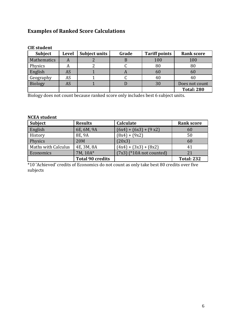### **Examples of Ranked Score Calculations**

| <b>Subject</b> | <b>Level</b> | Subject units | Grade | <b>Tariff points</b> | <b>Rank score</b> |
|----------------|--------------|---------------|-------|----------------------|-------------------|
| Mathematics    | A            |               |       | 100                  | 100               |
| Physics        | A            |               |       | 80                   | 80                |
| English        | AS           |               |       | 60                   | 60                |
| Geography      | AS           |               |       | 40                   |                   |
| <b>Biology</b> | AS           |               |       | 30                   | Does not count    |
|                |              |               |       |                      | <b>Total: 280</b> |

#### **CIE student**

Biology does not count because ranked score only includes best 6 subject units.

#### **NCEA student**

| <b>Subject</b>             | <b>Results</b>          | Calculate                  | <b>Rank score</b> |
|----------------------------|-------------------------|----------------------------|-------------------|
| English                    | 6E, 6M, 9A              | $(6x4) + (6x3) + (9x2)$    | 60                |
| History                    | 8E, 9A                  | $(8x4) + (9x2)$            | 50                |
| Physics                    | 20M                     | (20x3)                     | 60                |
| <b>Maths with Calculus</b> | 4E, 3M, 8A              | $(4x4) + (3x3) + (8x2)$    | 41                |
| Economics                  | 7M, 10A*                | $(7x3)$ (*10A not counted) | 21                |
|                            | <b>Total 90 credits</b> |                            | <b>Total: 232</b> |

\*10 'Achieved' credits of Economics do not count as only take best 80 credits over five subjects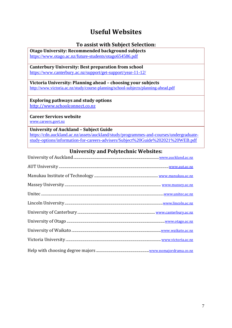# **Useful Websites**

#### **To assist with Subject Selection:**

**Otago University: Recommended background subjects** <https://www.otago.ac.nz/future-students/otago654586.pdf>

**Canterbury University: Best preparation from school** <https://www.canterbury.ac.nz/support/get-support/year-11-12/>

**Victoria University: Planning ahead – choosing your subjects** [http://www.victoria.ac.nz/study/course-planning/school-subjects/planning-ahead.pdf](file://///SPC-File/Staff/Faculties/Careers/Career%20Pathway%20Guide/Victoria%20Subject%20Guide%20for%20school%20students)

**Exploring pathways and study options** [http://www.schoolconnect.co.nz](http://www.schoolconnect.co.nz/)

**Career Services website**

[www.careers.govt.nz](http://www.careers.govt.nz/)

**University of Auckland – Subject Guide** [https://cdn.auckland.ac.nz/assets/auckland/study/programmes-and-courses/undergraduate](https://cdn.auckland.ac.nz/assets/auckland/study/programmes-and-courses/undergraduate-study-options/information-for-careers-advisers/Subject%20Guide%202021%20WEB.pdf)[study-options/information-for-careers-advisers/Subject%20Guide%202021%20WEB.pdf](https://cdn.auckland.ac.nz/assets/auckland/study/programmes-and-courses/undergraduate-study-options/information-for-careers-advisers/Subject%20Guide%202021%20WEB.pdf)

#### **University and Polytechnic Websites:**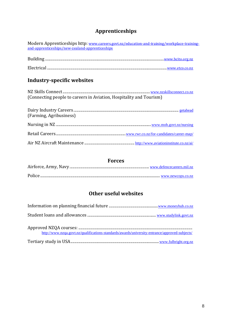### **Apprenticeships**

| Modern Apprenticeships http: www.careers.govt.nz/education-and-training/workplace-training-<br>and-apprenticeships/new-zealand-apprenticeships |
|------------------------------------------------------------------------------------------------------------------------------------------------|
|                                                                                                                                                |
|                                                                                                                                                |
| Industry-specific websites                                                                                                                     |
| (Connecting people to careers in Aviation, Hospitality and Tourism)                                                                            |
| (Farming, Agribusiness)                                                                                                                        |
|                                                                                                                                                |
|                                                                                                                                                |

### **Forces**

Air NZ Aircraft Maintenance ................................................... <http://www.aviationinstitute.co.nz/ai/>

### **Other useful websites**

| http://www.nzqa.govt.nz/qualifications-standards/awards/university-entrance/approved-subjects/ |
|------------------------------------------------------------------------------------------------|
|                                                                                                |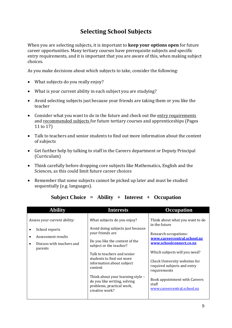## **Selecting School Subjects**

When you are selecting subjects, it is important to **keep your options open** for future career opportunities. Many tertiary courses have prerequisite subjects and specific entry requirements, and it is important that you are aware of this, when making subject choices.

As you make decisions about which subjects to take, consider the following:

- What subjects do you really enjoy?
- What is your current ability in each subject you are studying?
- Avoid selecting subjects just because your friends are taking them or you like the teacher
- Consider what you want to do in the future and check out the entry requirements and recommended subjects for future tertiary courses and apprenticeships (Pages 11 to 17)
- Talk to teachers and senior students to find out more information about the content of subjects
- Get further help by talking to staff in the Careers department or Deputy Principal (Curriculum)
- Think carefully before dropping core subjects like Mathematics, English and the Sciences, as this could limit future career choices
- Remember that some subjects cannot be picked up later and must be studied sequentially (e.g. languages).

| <b>Ability</b>                                                                                                            | <b>Interests</b>                                                                                                                                                                                                                                                                                                                                                          | <b>Occupation</b>                                                                                                                                                                                                                                                                                                             |
|---------------------------------------------------------------------------------------------------------------------------|---------------------------------------------------------------------------------------------------------------------------------------------------------------------------------------------------------------------------------------------------------------------------------------------------------------------------------------------------------------------------|-------------------------------------------------------------------------------------------------------------------------------------------------------------------------------------------------------------------------------------------------------------------------------------------------------------------------------|
| Assess your current ability:<br>School reports<br>Assessment results<br>Discuss with teachers and<br>$\bullet$<br>parents | What subjects do you enjoy?<br>Avoid doing subjects just because<br>your friends are<br>Do you like the content of the<br>subject or the teacher?<br>Talk to teachers and senior<br>students to find out more<br>information about subject<br>content<br>Think about your learning style -<br>do you like writing, solving<br>problems, practical work,<br>creative work? | Think about what you want to do<br>in the future<br>Research occupations:<br>www.careercentral.school.nz<br>www.schoolconnect.co.nz<br>Which subjects will you need?<br>Check University websites for<br>required subjects and entry<br>requirements<br>Book appointment with Careers<br>staff<br>www.careercentral.school.nz |

#### **Subject Choice = Ability + Interest + Occupation**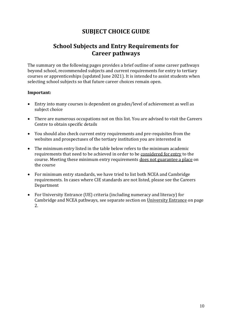### **SUBJECT CHOICE GUIDE**

### **School Subjects and Entry Requirements for Career pathways**

The summary on the following pages provides a brief outline of some career pathways beyond school, recommended subjects and current requirements for entry to tertiary courses or apprenticeships (updated June 2021). It is intended to assist students when selecting school subjects so that future career choices remain open.

#### **Important:**

- Entry into many courses is dependent on grades/level of achievement as well as subject choice
- There are numerous occupations not on this list. You are advised to visit the Careers Centre to obtain specific details
- You should also check current entry requirements and pre-requisites from the websites and prospectuses of the tertiary institution you are interested in
- The minimum entry listed in the table below refers to the minimum academic requirements that need to be achieved in order to be considered for entry to the course. Meeting these minimum entry requirements does not guarantee a place on the course
- For minimum entry standards, we have tried to list both NCEA and Cambridge requirements. In cases where CIE standards are not listed, please see the Careers Department
- For University Entrance (UE) criteria (including numeracy and literacy) for Cambridge and NCEA pathways, see separate section on University Entrance on page 2.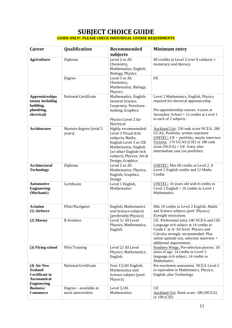#### **SUBJECT CHOICE GUIDE GUIDE ONLY! PLEASE CHECK INDIVIDUAL COURSE REQUIRMENTS**

| <b>Career</b>                                                                                  | Qualification                              | Recommended<br>subjects                                                                                                                                                                    | <b>Minimum entry</b>                                                                                                                                                                                                                      |
|------------------------------------------------------------------------------------------------|--------------------------------------------|--------------------------------------------------------------------------------------------------------------------------------------------------------------------------------------------|-------------------------------------------------------------------------------------------------------------------------------------------------------------------------------------------------------------------------------------------|
| <b>Agriculture</b>                                                                             | Diploma                                    | Level 2 or AS<br>Chemistry,<br>Mathematics, English,<br>Biology, Physics                                                                                                                   | 40 credits at Level 2 over 4 subjects +<br>numeracy and literacy                                                                                                                                                                          |
|                                                                                                | Degree                                     | Level 3 or AS<br>Chemistry,<br>Mathematics, Biology,<br>Physics                                                                                                                            | UE                                                                                                                                                                                                                                        |
| <b>Apprenticeships</b><br>(many including<br>building,<br>plumbing,<br>electrical)             | National Certificate                       | Mathematics, English,<br>General Science,<br>Carpentry, Furniture-<br>making, Graphics<br>Physics Level 2 for<br>Electrical                                                                | Level 2 Mathematics, English, Physics<br>required for electrical apprenticeship<br>Pre-apprenticeship courses: 4 years at<br>Secondary School + 12 credits at Level 1<br>in each of 2 subjects.                                           |
| <b>Architecture</b>                                                                            | Masters degree (total 5<br>years)          | Highly recommended:<br>Level 3 Visual Arts<br>subjects, Maths,<br>English Level 3 or CIE<br>Mathematics, English<br>(or other English-rich<br>subject), Physics, Art &<br>Design, Graphics | Auckland Uni: 230 rank score NCEA, 280<br>UCAS, Portfolio, written statement<br>UNITEC: $UE + portfolio$ , maybe interview<br>Victoria: 170 UCAS (CIE) or 180 rank<br>score (NCEA) + UE. Entry after<br>intermediate year (no portfolio)  |
| <b>Architectural</b><br><b>Technology</b>                                                      | Diploma                                    | Level 2 or AS<br>Mathematics, Physics,<br>English, Graphics,<br>Design                                                                                                                     | <b>UNITEC:</b> Min 60 credits at Level 2, 8<br>Level 2 English credits and 12 Maths<br>Credits                                                                                                                                            |
| <b>Automotive</b><br><b>Engineering</b><br>(Mechanic)                                          | Certificate                                | Level 1 English,<br>Mathematics                                                                                                                                                            | UNITEC: 16 years old with 8 credits in<br>Level $1$ English + 10 credits in Level $1$<br>Mathematics                                                                                                                                      |
| <b>Aviation</b><br>(1) Airforce                                                                | Pilot/Navigator                            | English, Mathematics<br>and Science subjects<br>(preferably Physics)                                                                                                                       | Min 18 credits in Level 2 English, Maths<br>and Science subjects (pref. Physics).<br>Eyesight restrictions                                                                                                                                |
| (2) Massey                                                                                     | <b>B</b> Aviation                          | Level 3/AS Level<br>Physics, Mathematics,<br>English                                                                                                                                       | UE. Preferential entry 140 NCEA and CIE.<br>Language rich subject at 14 credits or<br>Grade C at A/AS level. Physics and<br>Calculus strongly recommended. Plus<br>online aptitude test, selection interview +<br>additional requirements |
| (3) Flying school                                                                              | <b>Pilot Training</b>                      | Level 2/AS Level<br>Physics, Mathematics,<br>English                                                                                                                                       | Southern Wings: Pre-selection process. 18<br>years of age. 14 credits in Level 3<br>language rich subject, 14 credits in<br>Mathematics                                                                                                   |
| $(4)$ Air New<br><b>Zealand</b><br>Certificate in<br><b>Aeronautical</b><br><b>Engineering</b> | National Certificate                       | Year 12/AS English,<br>Mathematics and<br>Science subject (pref.<br>Physics)                                                                                                               | Pre-enrolment assessment. NCEA Level 2<br>or equivalent in Mathematics, Physics,<br>English, plus Technology                                                                                                                              |
| <b>Business/</b><br><b>Commerce</b>                                                            | Degree - available at<br>most universities | Level 3/AS<br>Mathematics.                                                                                                                                                                 | UE<br>Auckland Uni: Rank score: 180 (NCEA)<br>or 190 (CIE)                                                                                                                                                                                |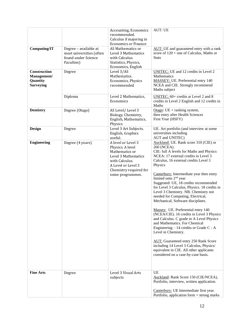|                                                             |                                                                                        | Accounting, Economics<br>recommended.<br>Calculus if majoring in<br><b>Economics or Finance</b>                                                                       | <b>AUT: UE</b>                                                                                                                                                                                                                                                                                                                                                                                                                                                                                                                                                                                                                                                                                                                                                                                                                                                                                         |
|-------------------------------------------------------------|----------------------------------------------------------------------------------------|-----------------------------------------------------------------------------------------------------------------------------------------------------------------------|--------------------------------------------------------------------------------------------------------------------------------------------------------------------------------------------------------------------------------------------------------------------------------------------------------------------------------------------------------------------------------------------------------------------------------------------------------------------------------------------------------------------------------------------------------------------------------------------------------------------------------------------------------------------------------------------------------------------------------------------------------------------------------------------------------------------------------------------------------------------------------------------------------|
| <b>Computing/IT</b>                                         | Degree - available at<br>most universities (often<br>found under Science<br>Faculties) | AS Mathematics or<br>Level 3 Mathematics<br>with Calculus.<br>Statistics, Physics,<br>Economics, English                                                              | AUT: UE and guaranteed entry with a rank<br>score of $120 +$ one of Calculus, Maths or<br><b>Stats</b>                                                                                                                                                                                                                                                                                                                                                                                                                                                                                                                                                                                                                                                                                                                                                                                                 |
| Construction<br>Management/<br>Quantity<br><b>Surveying</b> | Degree                                                                                 | Level 3/AS<br>Mathematics.<br>Economics, Physics<br>recommended                                                                                                       | <b>UNITEC:</b> UE and 12 credits in Level 2<br>Mathematics<br><b>MASSEY: UE. Preferential entry 140</b><br>NCEA and CIE. Strongly recommend<br>Maths subject                                                                                                                                                                                                                                                                                                                                                                                                                                                                                                                                                                                                                                                                                                                                           |
|                                                             | Diploma                                                                                | Level 2 Mathematics,<br>Economics                                                                                                                                     | UNITEC: 60+ credits at Level 2 and 8<br>credits in Level 2 English and 12 credits in<br>Maths                                                                                                                                                                                                                                                                                                                                                                                                                                                                                                                                                                                                                                                                                                                                                                                                          |
| <b>Dentistry</b>                                            | Degree (Otago)                                                                         | AS Level/Level 3<br>Biology, Chemistry,<br>English, Mathematics,<br>Physics                                                                                           | Otago: $UE + ranking$ system,<br>then entry after Health Sciences<br>First Year (HSFY)                                                                                                                                                                                                                                                                                                                                                                                                                                                                                                                                                                                                                                                                                                                                                                                                                 |
| <b>Design</b>                                               | Degree                                                                                 | Level 3 Art Subjects.<br>English, Graphics<br>useful.                                                                                                                 | UE. Art portfolio (and interview at some<br>universities including<br>AUT and UNITEC)                                                                                                                                                                                                                                                                                                                                                                                                                                                                                                                                                                                                                                                                                                                                                                                                                  |
| <b>Engineering</b>                                          | Degree (4 years)                                                                       | A level or Level 3<br>Physics. A level<br>Mathematics or<br>Level 3 Mathematics<br>with Calculus.<br>A Level or Level 3<br>Chemistry required for<br>some programmes. | Auckland: UE. Rank score 310 (CIE) or<br>260 (NCEA).<br>CIE: full A levels for Maths and Physics<br>NCEA: 17 external credits in Level 3<br>Calculus, 16 external credits Level 3<br>Physics<br>Canterbury: Intermediate year then entry<br>limited onto 2 <sup>nd</sup> year<br>Suggested: UE, 18 credits recommended<br>for Level 3 Calculus, Physics. 18 credits in<br>Level 3 Chemistry. NB. Chemistry not<br>needed for Computing, Electrical,<br>Mechanical, Software disciplines.<br>Massey: UE. Preferential entry 140<br>(NCEA/CIE). 16 credits in Level 3 Physics<br>and Calculus. C grade in A Level Physics<br>and Mathematics. For Chemical<br>Engineering – 14 credits or Grade C - A<br>Level in Chemistry.<br><b>AUT:</b> Guaranteed entry 250 Rank Score<br>including 14 Level 3 Calculus, Physics/<br>equivalent in CIE. All other applicants<br>considered on a case-by-case basis. |
| <b>Fine Arts</b>                                            | Degree                                                                                 | Level 3 Visual Arts<br>subjects                                                                                                                                       | <b>UE</b><br>Auckland: Rank Score 150 (CIE/NCEA),<br>Portfolio, interview, written application.<br>Canterbury: UE Intermediate first year.<br>Portfolio, application form + strong marks                                                                                                                                                                                                                                                                                                                                                                                                                                                                                                                                                                                                                                                                                                               |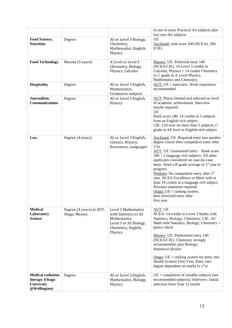|                                                                          |                                           |                                                                                                                          | in one or more Practical Art subjects plus<br>two non-Art subjects                                                                                                                                                                                                                                                                                                                                                                                                                                                                                                              |
|--------------------------------------------------------------------------|-------------------------------------------|--------------------------------------------------------------------------------------------------------------------------|---------------------------------------------------------------------------------------------------------------------------------------------------------------------------------------------------------------------------------------------------------------------------------------------------------------------------------------------------------------------------------------------------------------------------------------------------------------------------------------------------------------------------------------------------------------------------------|
| Food Science,<br><b>Nutrition</b>                                        | Degree                                    | AS or Level 3 Biology,<br>Chemistry,<br>Mathematics, English,<br>Physics                                                 | UE<br>Auckland: rank score 200 (NCEA), 200<br>(CIE)                                                                                                                                                                                                                                                                                                                                                                                                                                                                                                                             |
| <b>Food Technology</b>                                                   | Massey (4 years)                          | A Level or Level 3<br>Chemistry, Biology,<br>Physics, Calculus                                                           | Massey: UE. Preferred entry 140<br>(NCEA/CIE). 16 Level 3 credits in<br>Calculus, Physics + 14 credits Chemistry<br>or C grade in A Level Physics,<br>Mathematics and Chemistry.                                                                                                                                                                                                                                                                                                                                                                                                |
| <b>Hospitality</b>                                                       | Degree                                    | AS or Level 3 English,<br>Mathematics,<br>Commerce subjects                                                              | $AUT: UE + interview. Work experience$<br>recommended.                                                                                                                                                                                                                                                                                                                                                                                                                                                                                                                          |
| Journalism,<br><b>Communications</b>                                     | Degree                                    | AS or Level 3 English,<br>History                                                                                        | <b>AUT:</b> Places limited and selected on level<br>of academic achievement. Interview<br>maybe required.<br>UE<br>Rank score 180. 14 credits in 2 subjects<br>from an English rich subject.<br>CIE: 150 over no more than 5 subjects, C<br>grade at AS level in English-rich subject.                                                                                                                                                                                                                                                                                          |
| Law                                                                      | Degree (4 years)                          | AS or Level 3 English,<br>Classics, History,<br>Economics, Languages                                                     | Auckland: UE. Required entry into another<br>degree course then competitive entry after<br>1 <sup>st</sup> yr<br>$AUT:$ UE. Guaranteed entry – Rank score<br>$180 + 2$ language rich subjects. All other<br>applicants considered on case-by-case<br>basis. Need a B grade average in $1st$ year to<br>progress.<br>Waikato: No competitive entry after 1 <sup>st</sup><br>year. NCEA Excellence or Merit with at<br>least 18 credits in a language rich subject.<br>Personal statement required.<br>Otago: $UE + ranking$ system,<br>then restricted entry after<br>first year |
| <b>Medical</b><br>Laboratory<br><b>Science</b>                           | Degree (4 years) at AUT,<br>Otago, Massey | Level 3 Mathematics<br>with Statistics or AS<br>Mathematics.<br>Level 3 or AS Biology,<br>Chemistry, English,<br>Physics | AUT: UE<br>NCEA: 14 credits in Level 3 Maths with<br>Statistics, Biology, Chemistry; CIE: AS<br>Math with Statistics, Biology, Chemistry +<br>police check<br>Massey: UE. Preferential entry 140<br>(NCEA/CIE). Chemistry strongly<br>recommended, plus Biology,<br>Statistics/calculus<br>Otago: $UE + ranking$ system for entry into<br>Health Science First Year. Entry into<br>degree dependent on marks in 1 <sup>st</sup> yr                                                                                                                                              |
| <b>Medical radiation</b><br>therapy (Otago<br>University<br>@Wellington) | Degree                                    | AS or Level 3 English,<br>Mathematics, Biology,<br>Physics                                                               | $UE +$ completion of suitable subjects (see<br>recommended subjects). Interview. Initial<br>selection from Year 12 results                                                                                                                                                                                                                                                                                                                                                                                                                                                      |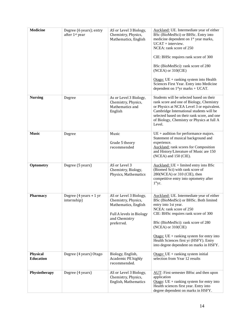| <b>Medicine</b>                     | Degree (6 years); entry<br>after 1st year                | AS or Level 3 Biology,<br>Chemistry, Physics,<br>Mathematics, English                                                            | Auckland: UE. Intermediate year of either<br>BSc (BioMedSci) or BHSc. Entry into<br>medicine dependent on 1 <sup>st</sup> year marks,<br>$UCAT +$ interview.<br>NCEA: rank score of 250<br>CIE: BHSc requires rank score of 300<br>BSc (BioMedSci): rank score of 280<br>$(NCEA)$ or $310(CIE)$<br>Otago: $UE + ranking$ system into Health<br>Sciences First Year. Entry into Medicine<br>dependent on $1styr$ marks + UCAT. |
|-------------------------------------|----------------------------------------------------------|----------------------------------------------------------------------------------------------------------------------------------|-------------------------------------------------------------------------------------------------------------------------------------------------------------------------------------------------------------------------------------------------------------------------------------------------------------------------------------------------------------------------------------------------------------------------------|
| <b>Nursing</b>                      | Degree                                                   | As or Level 3 Biology,<br>Chemistry, Physics,<br>Mathematics and<br>English                                                      | Students will be selected based on their<br>rank score and one of Biology, Chemistry<br>or Physics at NCEA Level 3 or equivalent.<br>Cambridge International students will be<br>selected based on their rank score, and one<br>of Biology, Chemistry or Physics at full A<br>Level.                                                                                                                                          |
| <b>Music</b>                        | Degree                                                   | Music<br>Grade 5 theory<br>recommended                                                                                           | $UE +$ audition for performance majors.<br>Statement of musical background and<br>experience.<br><b>Auckland:</b> rank scores for Composition<br>and History/Literature of Music are 150<br>(NCEA) and 150 (CIE).                                                                                                                                                                                                             |
| Optometry                           | Degree (5 years)                                         | AS or Level 3<br>Chemistry, Biology,<br>Physics, Mathematics                                                                     | $Auckland: UE + limited entry into BSc$<br>(Biomed Sci) with rank score of<br>280(NCEA) or 310 (CIE), then<br>competitive entry into optometry after<br>1 <sup>st</sup> yr.                                                                                                                                                                                                                                                   |
| <b>Pharmacy</b>                     | Degree $(4 \text{ years} + 1 \text{ yr})$<br>internship) | AS or Level 3 Biology,<br>Chemistry, Physics,<br>Mathematics, English<br>Full A levels in Biology<br>and Chemistry<br>preferred. | Auckland: UE. Intermediate year of either<br>BSc (BioMedSci) or BHSc. Both limited<br>entry into 1st year.<br>NCEA: rank score of 250<br>CIE: BHSc requires rank score of 300<br>BSc (BioMedSci): rank score of 280<br>$(NCEA)$ or $310(CIE)$<br>Otago: $UE + ranking$ system for entry into<br>Health Sciences first yr (HSFY). Entry<br>into degree dependent on marks in HSFY.                                             |
| <b>Physical</b><br><b>Education</b> | Degree (4 years) Otago                                   | Biology, English,<br>Academic PE highly<br>recommended.                                                                          | Otago: $UE + ranking$ system initial<br>selection from Year 12 results                                                                                                                                                                                                                                                                                                                                                        |
| Physiotherapy                       | Degree (4 years)                                         | AS or Level 3 Biology,<br>Chemistry, Physics,<br>English, Mathematics                                                            | AUT: First semester BHsc and then upon<br>application<br>Otago: $UE + ranking$ system for entry into<br>Health sciences first year. Entry into<br>degree dependent on marks in HSFY.                                                                                                                                                                                                                                          |